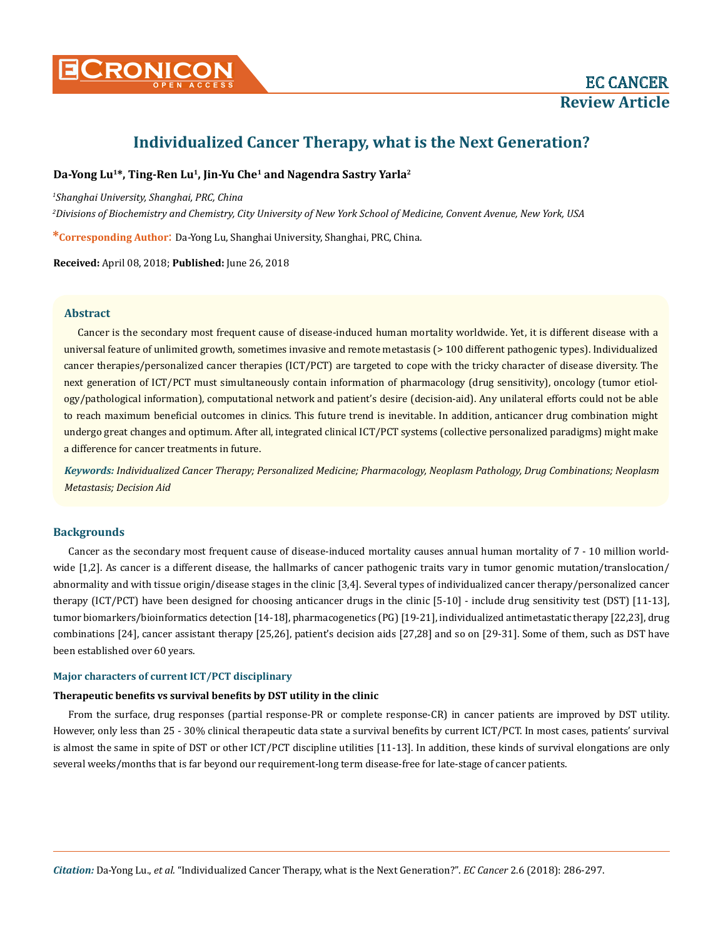

# **Individualized Cancer Therapy, what is the Next Generation?**

# **Da-Yong Lu<sup>1</sup>\*, Ting-Ren Lu<sup>1</sup>, Jin-Yu Che<sup>1</sup> and Nagendra Sastry Yarla<sup>2</sup>**

*1 Shanghai University, Shanghai, PRC, China*

*2 Divisions of Biochemistry and Chemistry, City University of New York School of Medicine, Convent Avenue, New York, USA*

**\*Corresponding Author**: Da-Yong Lu, Shanghai University, Shanghai, PRC, China.

**Received:** April 08, 2018; **Published:** June 26, 2018

# **Abstract**

Cancer is the secondary most frequent cause of disease-induced human mortality worldwide. Yet, it is different disease with a universal feature of unlimited growth, sometimes invasive and remote metastasis (> 100 different pathogenic types). Individualized cancer therapies/personalized cancer therapies (ICT/PCT) are targeted to cope with the tricky character of disease diversity. The next generation of ICT/PCT must simultaneously contain information of pharmacology (drug sensitivity), oncology (tumor etiology/pathological information), computational network and patient's desire (decision-aid). Any unilateral efforts could not be able to reach maximum beneficial outcomes in clinics. This future trend is inevitable. In addition, anticancer drug combination might undergo great changes and optimum. After all, integrated clinical ICT/PCT systems (collective personalized paradigms) might make a difference for cancer treatments in future.

*Keywords: Individualized Cancer Therapy; Personalized Medicine; Pharmacology, Neoplasm Pathology, Drug Combinations; Neoplasm Metastasis; Decision Aid*

# **Backgrounds**

Cancer as the secondary most frequent cause of disease-induced mortality causes annual human mortality of 7 - 10 million worldwide [1,2]. As cancer is a different disease, the hallmarks of cancer pathogenic traits vary in tumor genomic mutation/translocation/ abnormality and with tissue origin/disease stages in the clinic [3,4]. Several types of individualized cancer therapy/personalized cancer therapy (ICT/PCT) have been designed for choosing anticancer drugs in the clinic [5-10] - include drug sensitivity test (DST) [11-13], tumor biomarkers/bioinformatics detection [14-18], pharmacogenetics (PG) [19-21], individualized antimetastatic therapy [22,23], drug combinations [24], cancer assistant therapy [25,26], patient's decision aids [27,28] and so on [29-31]. Some of them, such as DST have been established over 60 years.

# **Major characters of current ICT/PCT disciplinary**

# **Therapeutic benefits vs survival benefits by DST utility in the clinic**

From the surface, drug responses (partial response-PR or complete response-CR) in cancer patients are improved by DST utility. However, only less than 25 - 30% clinical therapeutic data state a survival benefits by current ICT/PCT. In most cases, patients' survival is almost the same in spite of DST or other ICT/PCT discipline utilities [11-13]. In addition, these kinds of survival elongations are only several weeks/months that is far beyond our requirement-long term disease-free for late-stage of cancer patients.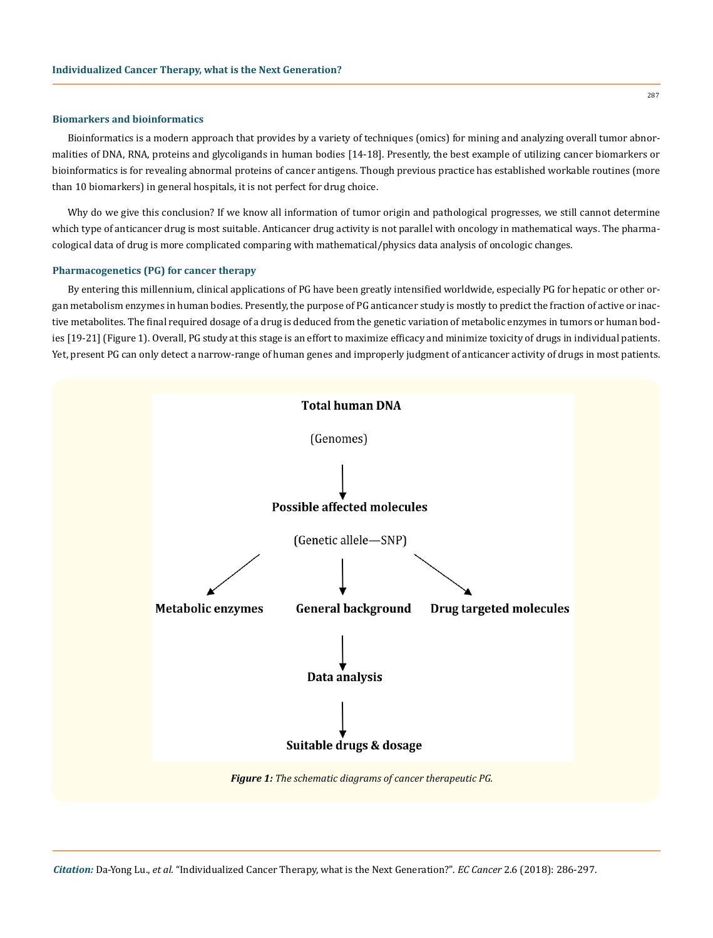#### **Biomarkers and bioinformatics**

Bioinformatics is a modern approach that provides by a variety of techniques (omics) for mining and analyzing overall tumor abnormalities of DNA, RNA, proteins and glycoligands in human bodies [14-18]. Presently, the best example of utilizing cancer biomarkers or bioinformatics is for revealing abnormal proteins of cancer antigens. Though previous practice has established workable routines (more than 10 biomarkers) in general hospitals, it is not perfect for drug choice.

Why do we give this conclusion? If we know all information of tumor origin and pathological progresses, we still cannot determine which type of anticancer drug is most suitable. Anticancer drug activity is not parallel with oncology in mathematical ways. The pharmacological data of drug is more complicated comparing with mathematical/physics data analysis of oncologic changes.

#### **Pharmacogenetics (PG) for cancer therapy**

By entering this millennium, clinical applications of PG have been greatly intensified worldwide, especially PG for hepatic or other organ metabolism enzymes in human bodies. Presently, the purpose of PG anticancer study is mostly to predict the fraction of active or inactive metabolites. The final required dosage of a drug is deduced from the genetic variation of metabolic enzymes in tumors or human bodies [19-21] (Figure 1). Overall, PG study at this stage is an effort to maximize efficacy and minimize toxicity of drugs in individual patients. Yet, present PG can only detect a narrow-range of human genes and improperly judgment of anticancer activity of drugs in most patients.

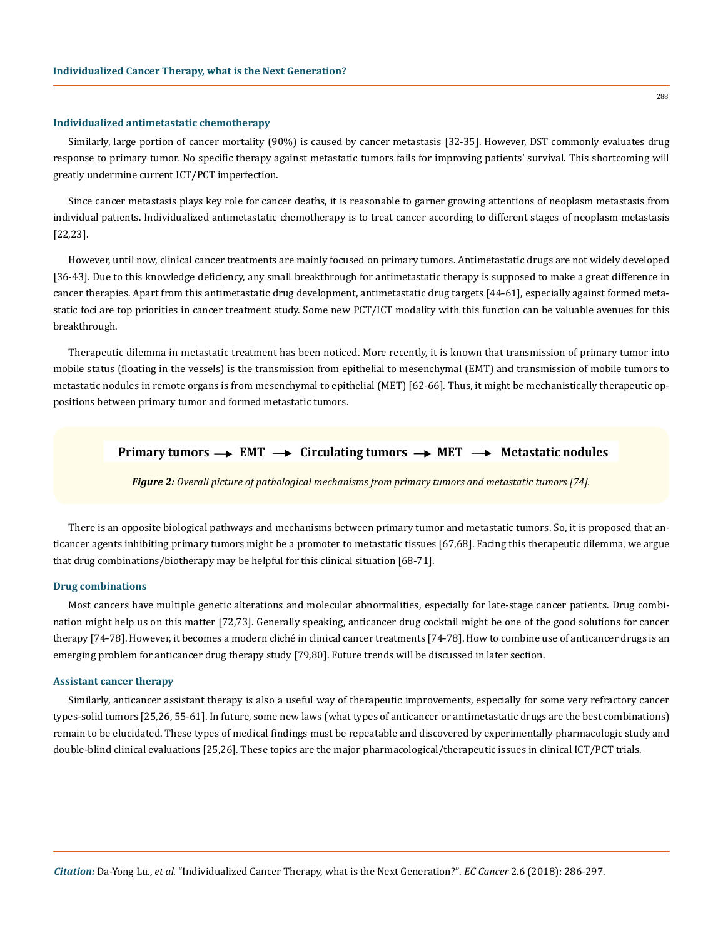#### **Individualized antimetastatic chemotherapy**

Similarly, large portion of cancer mortality (90%) is caused by cancer metastasis [32-35]. However, DST commonly evaluates drug response to primary tumor. No specific therapy against metastatic tumors fails for improving patients' survival. This shortcoming will greatly undermine current ICT/PCT imperfection.

Since cancer metastasis plays key role for cancer deaths, it is reasonable to garner growing attentions of neoplasm metastasis from individual patients. Individualized antimetastatic chemotherapy is to treat cancer according to different stages of neoplasm metastasis [22,23].

However, until now, clinical cancer treatments are mainly focused on primary tumors. Antimetastatic drugs are not widely developed [36-43]. Due to this knowledge deficiency, any small breakthrough for antimetastatic therapy is supposed to make a great difference in cancer therapies. Apart from this antimetastatic drug development, antimetastatic drug targets [44-61], especially against formed metastatic foci are top priorities in cancer treatment study. Some new PCT/ICT modality with this function can be valuable avenues for this breakthrough.

Therapeutic dilemma in metastatic treatment has been noticed. More recently, it is known that transmission of primary tumor into mobile status (floating in the vessels) is the transmission from epithelial to mesenchymal (EMT) and transmission of mobile tumors to metastatic nodules in remote organs is from mesenchymal to epithelial (MET) [62-66]. Thus, it might be mechanistically therapeutic oppositions between primary tumor and formed metastatic tumors.

# Primary tumors  $\rightarrow$  EMT  $\rightarrow$  Circulating tumors  $\rightarrow$  MET  $\rightarrow$  Metastatic nodules

*Figure 2: Overall picture of pathological mechanisms from primary tumors and metastatic tumors [74].*

There is an opposite biological pathways and mechanisms between primary tumor and metastatic tumors. So, it is proposed that anticancer agents inhibiting primary tumors might be a promoter to metastatic tissues [67,68]. Facing this therapeutic dilemma, we argue that drug combinations/biotherapy may be helpful for this clinical situation [68-71].

#### **Drug combinations**

Most cancers have multiple genetic alterations and molecular abnormalities, especially for late-stage cancer patients. Drug combination might help us on this matter [72,73]. Generally speaking, anticancer drug cocktail might be one of the good solutions for cancer therapy [74-78]. However, it becomes a modern cliché in clinical cancer treatments [74-78]. How to combine use of anticancer drugs is an emerging problem for anticancer drug therapy study [79,80]. Future trends will be discussed in later section.

#### **Assistant cancer therapy**

Similarly, anticancer assistant therapy is also a useful way of therapeutic improvements, especially for some very refractory cancer types-solid tumors [25,26, 55-61]. In future, some new laws (what types of anticancer or antimetastatic drugs are the best combinations) remain to be elucidated. These types of medical findings must be repeatable and discovered by experimentally pharmacologic study and double-blind clinical evaluations [25,26]. These topics are the major pharmacological/therapeutic issues in clinical ICT/PCT trials.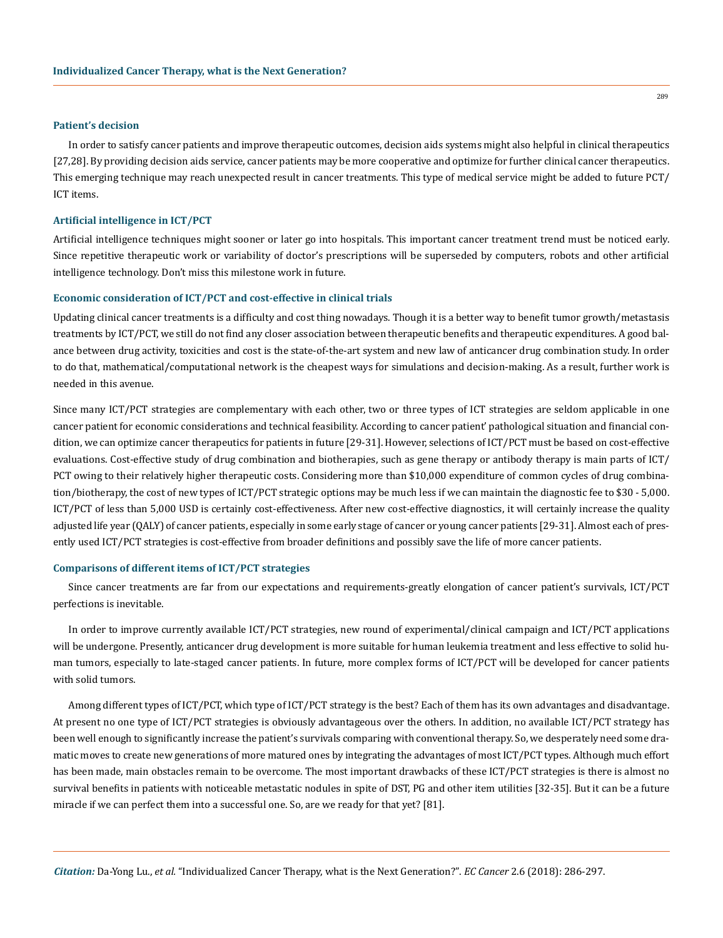#### **Patient's decision**

In order to satisfy cancer patients and improve therapeutic outcomes, decision aids systems might also helpful in clinical therapeutics [27,28]. By providing decision aids service, cancer patients may be more cooperative and optimize for further clinical cancer therapeutics. This emerging technique may reach unexpected result in cancer treatments. This type of medical service might be added to future PCT/ ICT items.

#### **Artificial intelligence in ICT/PCT**

Artificial intelligence techniques might sooner or later go into hospitals. This important cancer treatment trend must be noticed early. Since repetitive therapeutic work or variability of doctor's prescriptions will be superseded by computers, robots and other artificial intelligence technology. Don't miss this milestone work in future.

#### **Economic consideration of ICT/PCT and cost-effective in clinical trials**

Updating clinical cancer treatments is a difficulty and cost thing nowadays. Though it is a better way to benefit tumor growth/metastasis treatments by ICT/PCT, we still do not find any closer association between therapeutic benefits and therapeutic expenditures. A good balance between drug activity, toxicities and cost is the state-of-the-art system and new law of anticancer drug combination study. In order to do that, mathematical/computational network is the cheapest ways for simulations and decision-making. As a result, further work is needed in this avenue.

Since many ICT/PCT strategies are complementary with each other, two or three types of ICT strategies are seldom applicable in one cancer patient for economic considerations and technical feasibility. According to cancer patient' pathological situation and financial condition, we can optimize cancer therapeutics for patients in future [29-31]. However, selections of ICT/PCT must be based on cost-effective evaluations. Cost-effective study of drug combination and biotherapies, such as gene therapy or antibody therapy is main parts of ICT/ PCT owing to their relatively higher therapeutic costs. Considering more than \$10,000 expenditure of common cycles of drug combination/biotherapy, the cost of new types of ICT/PCT strategic options may be much less if we can maintain the diagnostic fee to \$30 - 5,000. ICT/PCT of less than 5,000 USD is certainly cost-effectiveness. After new cost-effective diagnostics, it will certainly increase the quality adjusted life year (QALY) of cancer patients, especially in some early stage of cancer or young cancer patients [29-31]. Almost each of presently used ICT/PCT strategies is cost-effective from broader definitions and possibly save the life of more cancer patients.

#### **Comparisons of different items of ICT/PCT strategies**

Since cancer treatments are far from our expectations and requirements-greatly elongation of cancer patient's survivals, ICT/PCT perfections is inevitable.

In order to improve currently available ICT/PCT strategies, new round of experimental/clinical campaign and ICT/PCT applications will be undergone. Presently, anticancer drug development is more suitable for human leukemia treatment and less effective to solid human tumors, especially to late-staged cancer patients. In future, more complex forms of ICT/PCT will be developed for cancer patients with solid tumors.

Among different types of ICT/PCT, which type of ICT/PCT strategy is the best? Each of them has its own advantages and disadvantage. At present no one type of ICT/PCT strategies is obviously advantageous over the others. In addition, no available ICT/PCT strategy has been well enough to significantly increase the patient's survivals comparing with conventional therapy. So, we desperately need some dramatic moves to create new generations of more matured ones by integrating the advantages of most ICT/PCT types. Although much effort has been made, main obstacles remain to be overcome. The most important drawbacks of these ICT/PCT strategies is there is almost no survival benefits in patients with noticeable metastatic nodules in spite of DST, PG and other item utilities [32-35]. But it can be a future miracle if we can perfect them into a successful one. So, are we ready for that yet? [81].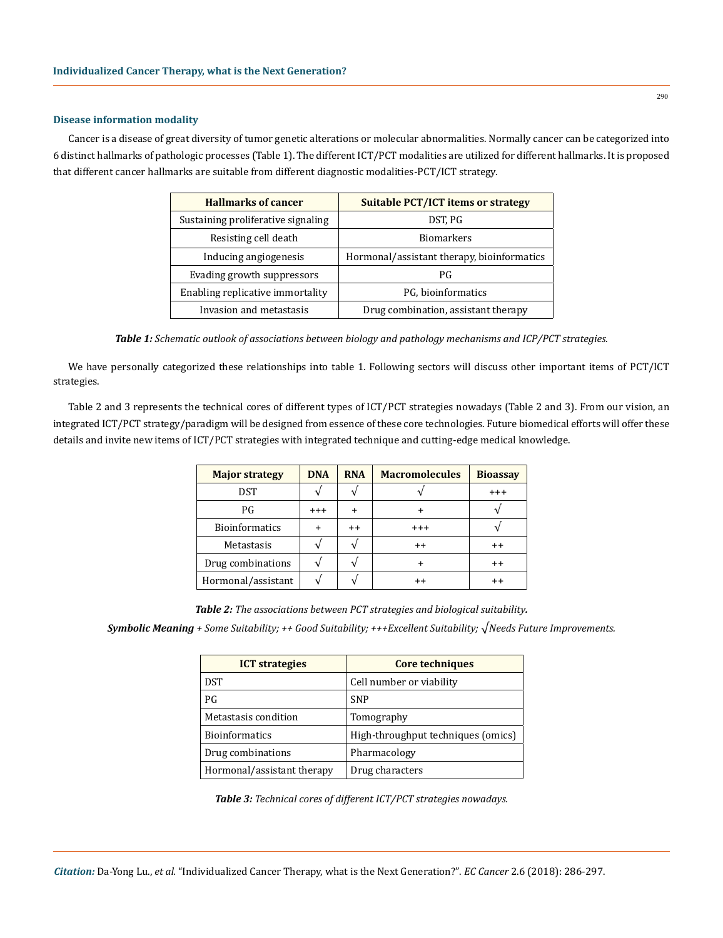#### **Disease information modality**

Cancer is a disease of great diversity of tumor genetic alterations or molecular abnormalities. Normally cancer can be categorized into 6 distinct hallmarks of pathologic processes (Table 1). The different ICT/PCT modalities are utilized for different hallmarks. It is proposed that different cancer hallmarks are suitable from different diagnostic modalities-PCT/ICT strategy.

| <b>Hallmarks of cancer</b>         | <b>Suitable PCT/ICT items or strategy</b>  |
|------------------------------------|--------------------------------------------|
| Sustaining proliferative signaling | DST, PG                                    |
| Resisting cell death               | <b>Biomarkers</b>                          |
| Inducing angiogenesis              | Hormonal/assistant therapy, bioinformatics |
| Evading growth suppressors         | РG                                         |
| Enabling replicative immortality   | PG, bioinformatics                         |
| Invasion and metastasis            | Drug combination, assistant therapy        |

*Table 1: Schematic outlook of associations between biology and pathology mechanisms and ICP/PCT strategies.*

We have personally categorized these relationships into table 1. Following sectors will discuss other important items of PCT/ICT strategies.

Table 2 and 3 represents the technical cores of different types of ICT/PCT strategies nowadays (Table 2 and 3). From our vision, an integrated ICT/PCT strategy/paradigm will be designed from essence of these core technologies. Future biomedical efforts will offer these details and invite new items of ICT/PCT strategies with integrated technique and cutting-edge medical knowledge.

| <b>Major strategy</b> | <b>DNA</b> | <b>RNA</b> | <b>Macromolecules</b> | <b>Bioassay</b> |
|-----------------------|------------|------------|-----------------------|-----------------|
| <b>DST</b>            |            |            |                       | $^{+++}$        |
| PG                    | $^{++}$    |            |                       |                 |
| <b>Bioinformatics</b> | +          | $^{++}$    | $^{+++}$              |                 |
| Metastasis            |            |            | $^{++}$               | $^{\mathrm{+}}$ |
| Drug combinations     |            |            |                       | $^{++}$         |
| Hormonal/assistant    |            |            | $^{++}$               | $^{\mathrm{+}}$ |

*Table 2: The associations between PCT strategies and biological suitability.*

*Symbolic Meaning + Some Suitability; ++ Good Suitability; +++Excellent Suitability; √Needs Future Improvements.*

| <b>ICT</b> strategies      | <b>Core techniques</b>             |
|----------------------------|------------------------------------|
| <b>DST</b>                 | Cell number or viability           |
| PG                         | <b>SNP</b>                         |
| Metastasis condition       | Tomography                         |
| <b>Bioinformatics</b>      | High-throughput techniques (omics) |
| Drug combinations          | Pharmacology                       |
| Hormonal/assistant therapy | Drug characters                    |

*Table 3: Technical cores of different ICT/PCT strategies nowadays.*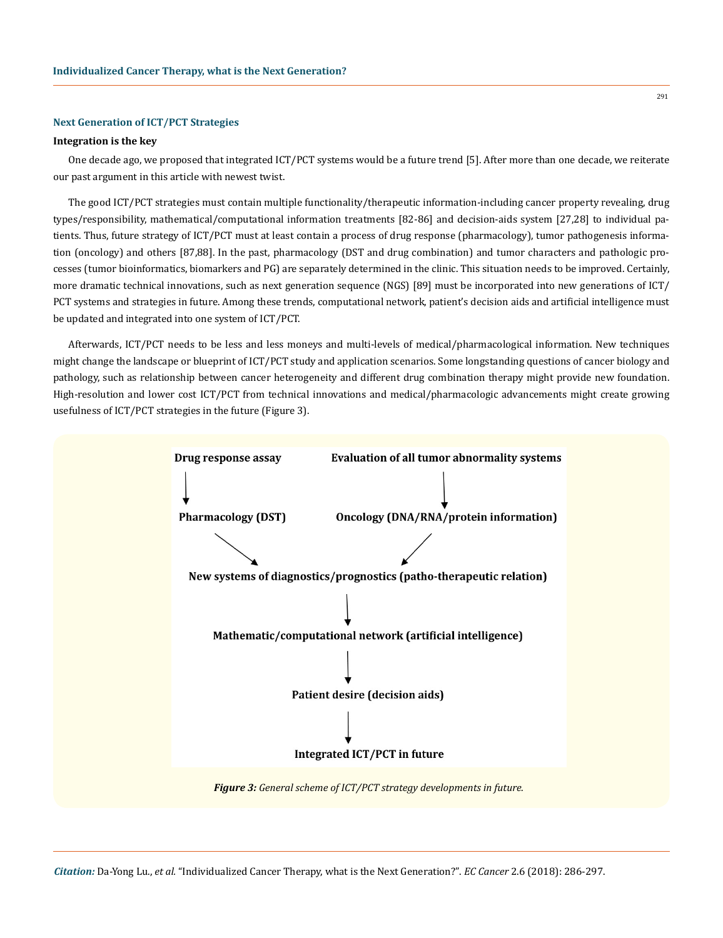#### **Next Generation of ICT/PCT Strategies**

#### **Integration is the key**

One decade ago, we proposed that integrated ICT/PCT systems would be a future trend [5]. After more than one decade, we reiterate our past argument in this article with newest twist.

The good ICT/PCT strategies must contain multiple functionality/therapeutic information-including cancer property revealing, drug types/responsibility, mathematical/computational information treatments [82-86] and decision-aids system [27,28] to individual patients. Thus, future strategy of ICT/PCT must at least contain a process of drug response (pharmacology), tumor pathogenesis information (oncology) and others [87,88]. In the past, pharmacology (DST and drug combination) and tumor characters and pathologic processes (tumor bioinformatics, biomarkers and PG) are separately determined in the clinic. This situation needs to be improved. Certainly, more dramatic technical innovations, such as next generation sequence (NGS) [89] must be incorporated into new generations of ICT/ PCT systems and strategies in future. Among these trends, computational network, patient's decision aids and artificial intelligence must be updated and integrated into one system of ICT/PCT.

Afterwards, ICT/PCT needs to be less and less moneys and multi-levels of medical/pharmacological information. New techniques might change the landscape or blueprint of ICT/PCT study and application scenarios. Some longstanding questions of cancer biology and pathology, such as relationship between cancer heterogeneity and different drug combination therapy might provide new foundation. High-resolution and lower cost ICT/PCT from technical innovations and medical/pharmacologic advancements might create growing usefulness of ICT/PCT strategies in the future (Figure 3).



291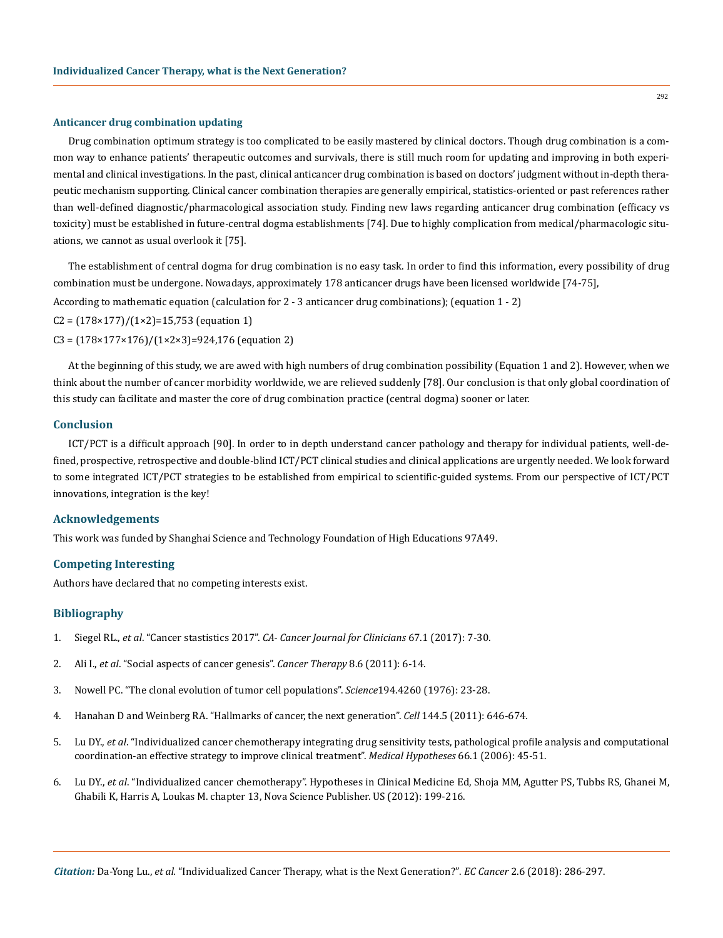#### **Anticancer drug combination updating**

Drug combination optimum strategy is too complicated to be easily mastered by clinical doctors. Though drug combination is a common way to enhance patients' therapeutic outcomes and survivals, there is still much room for updating and improving in both experimental and clinical investigations. In the past, clinical anticancer drug combination is based on doctors' judgment without in-depth therapeutic mechanism supporting. Clinical cancer combination therapies are generally empirical, statistics-oriented or past references rather than well-defined diagnostic/pharmacological association study. Finding new laws regarding anticancer drug combination (efficacy vs toxicity) must be established in future-central dogma establishments [74]. Due to highly complication from medical/pharmacologic situations, we cannot as usual overlook it [75].

The establishment of central dogma for drug combination is no easy task. In order to find this information, every possibility of drug combination must be undergone. Nowadays, approximately 178 anticancer drugs have been licensed worldwide [74-75],

According to mathematic equation (calculation for 2 - 3 anticancer drug combinations); (equation 1 - 2)

 $C2 = (178 \times 177)/(1 \times 2) = 15,753$  (equation 1)

 $C3 = (178 \times 177 \times 176)/(1 \times 2 \times 3) = 924,176$  (equation 2)

At the beginning of this study, we are awed with high numbers of drug combination possibility (Equation 1 and 2). However, when we think about the number of cancer morbidity worldwide, we are relieved suddenly [78]. Our conclusion is that only global coordination of this study can facilitate and master the core of drug combination practice (central dogma) sooner or later.

#### **Conclusion**

ICT/PCT is a difficult approach [90]. In order to in depth understand cancer pathology and therapy for individual patients, well-defined, prospective, retrospective and double-blind ICT/PCT clinical studies and clinical applications are urgently needed. We look forward to some integrated ICT/PCT strategies to be established from empirical to scientific-guided systems. From our perspective of ICT/PCT innovations, integration is the key!

# **Acknowledgements**

This work was funded by Shanghai Science and Technology Foundation of High Educations 97A49.

#### **Competing Interesting**

Authors have declared that no competing interests exist.

# **Bibliography**

- 1. Siegel RL., *et al*. "Cancer stastistics 2017". *[CA- Cancer Journal for Clinicians](https://www.ncbi.nlm.nih.gov/pubmed/28055103)* 67.1 (2017): 7-30.
- 2. Ali I., *et al*[. "Social aspects of cancer genesis".](http://citeseerx.ist.psu.edu/viewdoc/download?doi=10.1.1.682.5963&rep=rep1&type=pdf) *Cancer Therapy* 8.6 (2011): 6-14.
- 3. [Nowell PC. "The clonal evolution of tumor cell populations".](file:///C:/Users/Mounika/Desktop/ECOR-18-RW-355/v) *Science*194.4260 (1976): 23-28.
- 4. [Hanahan D and Weinberg RA. "Hallmarks of cancer, the next generation".](https://www.ncbi.nlm.nih.gov/pubmed/21376230) *Cell* 144.5 (2011): 646-674.
- 5. Lu DY., *et al*[. "Individualized cancer chemotherapy integrating drug sensitivity tests, pathological profile analysis and computational](https://www.ncbi.nlm.nih.gov/pubmed/16168568)  [coordination-an effective strategy to improve clinical treatment".](https://www.ncbi.nlm.nih.gov/pubmed/16168568) *Medical Hypotheses* 66.1 (2006): 45-51.
- 6. Lu DY., *et al*. "Individualized cancer chemotherapy". Hypotheses in Clinical Medicine Ed, Shoja MM, Agutter PS, Tubbs RS, Ghanei M, Ghabili K, Harris A, Loukas M. chapter 13, Nova Science Publisher. US (2012): 199-216.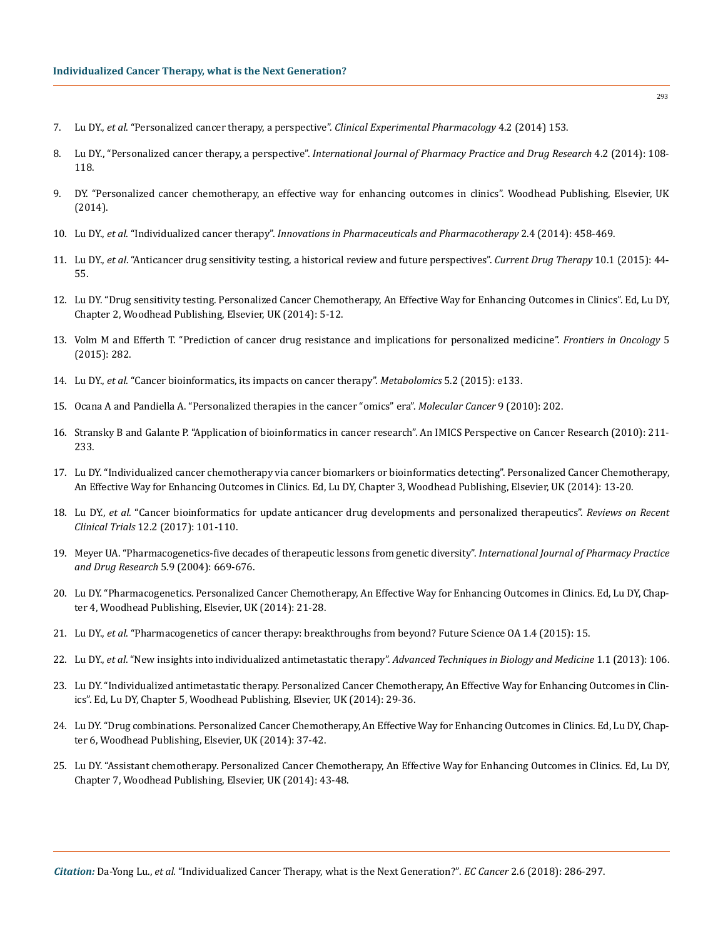- 7. Lu DY., *et al*[. "Personalized cancer therapy, a perspective".](https://www.omicsonline.org/open-access/personalized-cancer-therapy-a-perspective-2161-1459-4-153.php?aid=24665) *Clinical Experimental Pharmacology* 4.2 (2014) 153.
- 8. Lu DY., "Personalized cancer therapy, a perspective". *[International Journal of Pharmacy Practice and Drug Research](https://www.omicsonline.org/open-access/personalized-cancer-therapy-a-perspective-2161-1459-4-153.php?aid=24665)* 4.2 (2014): 108- [118.](https://www.omicsonline.org/open-access/personalized-cancer-therapy-a-perspective-2161-1459-4-153.php?aid=24665)
- 9. [DY. "Personalized cancer chemotherapy, an effective way for enhancing outcomes in clinics". Woodhead Publishing, Elsevier, UK](https://www.researchgate.net/publication/273135234_Personalized_Cancer_Chemotherapy_An_Effective_Way_of_Enhancing_Outcomes_in_Clinics) [\(2014\).](https://www.researchgate.net/publication/273135234_Personalized_Cancer_Chemotherapy_An_Effective_Way_of_Enhancing_Outcomes_in_Clinics)
- 10. Lu DY., *et al*. "Individualized cancer therapy". *Innovations in Pharmaceuticals and Pharmacotherapy* 2.4 (2014): 458-469.
- 11. Lu DY., *et al*[. "Anticancer drug sensitivity testing, a historical review and future perspectives".](https://www.eurekaselect.com/134290/article) *Current Drug Therapy* 10.1 (2015): 44- [55.](https://www.eurekaselect.com/134290/article)
- 12. Lu DY. "Drug sensitivity testing. Personalized Cancer Chemotherapy, An Effective Way for Enhancing Outcomes in Clinics". Ed, Lu DY, Chapter 2, Woodhead Publishing, Elsevier, UK (2014): 5-12.
- 13. [Volm M and Efferth T. "Prediction of cancer drug resistance and implications for personalized medicine".](https://www.ncbi.nlm.nih.gov/pmc/articles/PMC4681783/) *Frontiers in Oncology* 5 [\(2015\): 282.](https://www.ncbi.nlm.nih.gov/pmc/articles/PMC4681783/)
- 14. Lu DY., *et al*[. "Cancer bioinformatics, its impacts on cancer therapy".](https://www.omicsonline.org/open-access/cancer-bioinformatics-its-impacts-on-cancer-therapy-2153-0769-1000e133.php?aid=54043) *Metabolomics* 5.2 (2015): e133.
- 15. [Ocana A and Pandiella A. "Personalized therapies in the cancer "omics" era".](https://www.ncbi.nlm.nih.gov/pubmed/20670437) *Molecular Cancer* 9 (2010): 202.
- 16. [Stransky B and Galante P. "Application of bioinformatics in cancer research". An IMICS Perspective on Cancer Research \(2010\): 211-](https://link.springer.com/chapter/10.1007/978-90-481-2675-0_12) [233.](https://link.springer.com/chapter/10.1007/978-90-481-2675-0_12)
- 17. [Lu DY. "Individualized cancer chemotherapy via cancer biomarkers or bioinformatics detecting". Personalized Cancer Chemotherapy,](https://www.researchgate.net/publication/282566514_Individualized_cancer_chemotherapy_via_cancer_biomarkers_or_bioinformatics_detection) [An Effective Way for Enhancing Outcomes in Clinics. Ed, Lu DY, Chapter 3, Woodhead Publishing, Elsevier, UK \(2014\): 13-20.](https://www.researchgate.net/publication/282566514_Individualized_cancer_chemotherapy_via_cancer_biomarkers_or_bioinformatics_detection)
- 18. Lu DY., *et al*[. "Cancer bioinformatics for update anticancer drug developments and personalized therapeutics".](https://www.ncbi.nlm.nih.gov/pubmed/28190390) *Reviews on Recent Clinical Trials* [12.2 \(2017\): 101-110.](https://www.ncbi.nlm.nih.gov/pubmed/28190390)
- 19. [Meyer UA. "Pharmacogenetics-five decades of therapeutic lessons from genetic diversity".](https://www.ncbi.nlm.nih.gov/pubmed/15372089) *International Journal of Pharmacy Practice [and Drug Research](https://www.ncbi.nlm.nih.gov/pubmed/15372089)* 5.9 (2004): 669-676.
- 20. Lu DY. "Pharmacogenetics. Personalized Cancer Chemotherapy, An Effective Way for Enhancing Outcomes in Clinics. Ed, Lu DY, Chapter 4, Woodhead Publishing, Elsevier, UK (2014): 21-28.
- 21. Lu DY., *et al*[. "Pharmacogenetics of cancer therapy: breakthroughs from beyond? Future Science OA 1.4 \(2015\): 15.](https://www.ncbi.nlm.nih.gov/pmc/articles/PMC5137899/)
- 22. Lu DY., *et al*[. "New insights into individualized antimetastatic therapy".](https://www.omicsonline.org/open-access/new-insights-into-individualized-antimetastatic-therapy-atbm.1000106.php?aid=14229) *Advanced Techniques in Biology and Medicine* 1.1 (2013): 106.
- 23. Lu DY. "Individualized antimetastatic therapy. Personalized Cancer Chemotherapy, An Effective Way for Enhancing Outcomes in Clinics". Ed, Lu DY, Chapter 5, Woodhead Publishing, Elsevier, UK (2014): 29-36.
- 24. Lu DY. "Drug combinations. Personalized Cancer Chemotherapy, An Effective Way for Enhancing Outcomes in Clinics. Ed, Lu DY, Chapter 6, Woodhead Publishing, Elsevier, UK (2014): 37-42.
- 25. Lu DY. "Assistant chemotherapy. Personalized Cancer Chemotherapy, An Effective Way for Enhancing Outcomes in Clinics. Ed, Lu DY, Chapter 7, Woodhead Publishing, Elsevier, UK (2014): 43-48.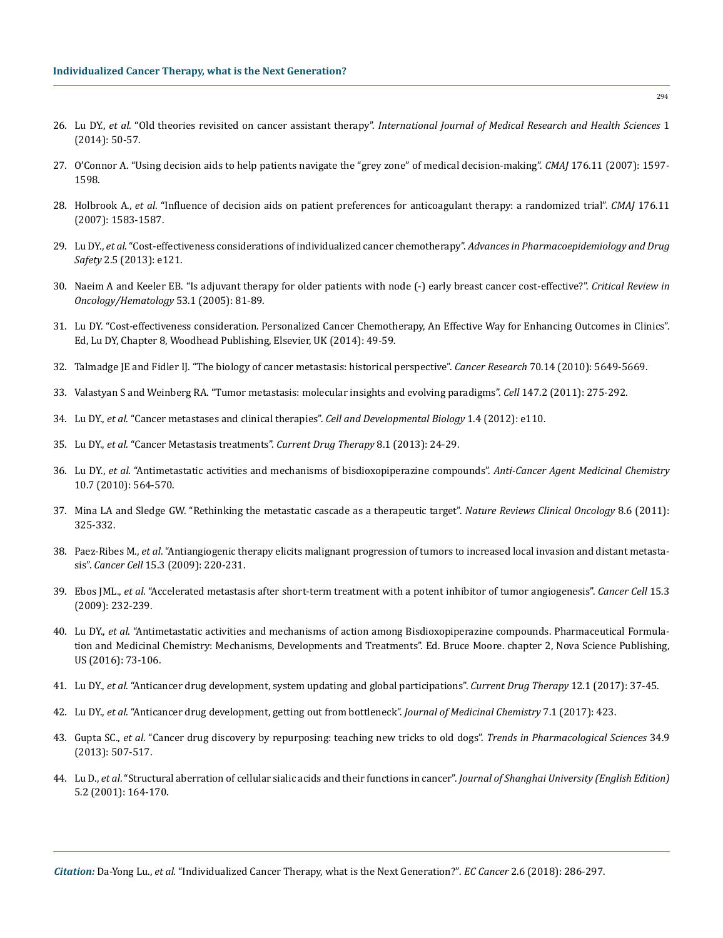- 26. Lu DY., *et al*. "Old theories revisited on cancer assistant therapy". *[International Journal of Medical Research and Health Sciences](https://www.researchgate.net/publication/270396395_Old_theories_revisited_on_cancer_assistant_therapy)* 1 [\(2014\): 50-57.](https://www.researchgate.net/publication/270396395_Old_theories_revisited_on_cancer_assistant_therapy)
- 27. [O'Connor A. "Using decision aids to help patients navigate the "grey zone" of medical decision-making".](https://www.ncbi.nlm.nih.gov/pmc/articles/PMC1867846/) *CMAJ* 176.11 (2007): 1597- [1598.](https://www.ncbi.nlm.nih.gov/pmc/articles/PMC1867846/)
- 28. Holbrook A., *et al*[. "Influence of decision aids on patient preferences for anticoagulant therapy: a randomized trial".](https://www.ncbi.nlm.nih.gov/pubmed/17515584) *CMAJ* 176.11 [\(2007\): 1583-1587.](https://www.ncbi.nlm.nih.gov/pubmed/17515584)
- 29. Lu DY., *et al*[. "Cost-effectiveness considerations of individualized cancer chemotherapy".](https://www.omicsonline.org/open-access/cost-effectiveness-considerations-of-individualized-cancer-chemotherapy-2167-1052.1000e121.php?aid=15996) *Advances in Pharmacoepidemiology and Drug Safety* [2.5 \(2013\): e121.](https://www.omicsonline.org/open-access/cost-effectiveness-considerations-of-individualized-cancer-chemotherapy-2167-1052.1000e121.php?aid=15996)
- 30. [Naeim A and Keeler EB. "Is adjuvant therapy for older patients with node \(-\) early breast cancer cost-effective?".](https://www.ncbi.nlm.nih.gov/pubmed/15607936) *Critical Review in [Oncology/Hematology](https://www.ncbi.nlm.nih.gov/pubmed/15607936)* 53.1 (2005): 81-89.
- 31. [Lu DY. "Cost-effectiveness consideration. Personalized Cancer Chemotherapy, An Effective Way for Enhancing Outcomes in Clinics".](https://www.omicsonline.org/open-access/cost-effectiveness-considerations-of-individualized-cancer-chemotherapy-2167-1052.1000e121.php?aid=15996) [Ed, Lu DY, Chapter 8, Woodhead Publishing, Elsevier, UK \(2014\): 49-59.](https://www.omicsonline.org/open-access/cost-effectiveness-considerations-of-individualized-cancer-chemotherapy-2167-1052.1000e121.php?aid=15996)
- 32. [Talmadge JE and Fidler IJ. "The biology of cancer metastasis: historical perspective".](http://cancerres.aacrjournals.org/content/canres/early/2010/07/01/0008-5472.CAN-10-1040.full.pdf) *Cancer Research* 70.14 (2010): 5649-5669.
- 33. [Valastyan S and Weinberg RA. "Tumor metastasis: molecular insights and evolving paradigms".](https://www.ncbi.nlm.nih.gov/pubmed/22000009) *Cell* 147.2 (2011): 275-292.
- 34. Lu DY., *et al*. "Cancer metastases and clinical therapies". *Cell and Developmental Biology* 1.4 (2012): e110.
- 35. Lu DY., *et al*[. "Cancer Metastasis treatments".](http://www.ingentaconnect.com/content/ben/cdth/2013/00000008/00000001/art00003) *Current Drug Therapy* 8.1 (2013): 24-29.
- 36. Lu DY., *et al*[. "Antimetastatic activities and mechanisms of bisdioxopiperazine compounds".](https://www.researchgate.net/publication/47447575_Antimetastatic_Activities_and_Mechanisms_of_Bisdioxopiperazine_Compounds) *Anti-Cancer Agent Medicinal Chemistry* [10.7 \(2010\): 564-570.](https://www.researchgate.net/publication/47447575_Antimetastatic_Activities_and_Mechanisms_of_Bisdioxopiperazine_Compounds)
- 37. [Mina LA and Sledge GW. "Rethinking the metastatic cascade as a therapeutic target".](https://www.ncbi.nlm.nih.gov/pubmed/21502993) *Nature Reviews Clinical Oncology* 8.6 (2011): [325-332.](https://www.ncbi.nlm.nih.gov/pubmed/21502993)
- 38. Paez-Ribes M., *et al*[. "Antiangiogenic therapy elicits malignant progression of tumors to increased local invasion and distant metasta](https://www.ncbi.nlm.nih.gov/pubmed/19249680)sis". *Cancer Cell* [15.3 \(2009\): 220-231.](https://www.ncbi.nlm.nih.gov/pubmed/19249680)
- 39. Ebos JML., *et al*[. "Accelerated metastasis after short-term treatment with a potent inhibitor of tumor angiogenesis".](https://www.ncbi.nlm.nih.gov/pubmed/19249681) *Cancer Cell* 15.3 [\(2009\): 232-239.](https://www.ncbi.nlm.nih.gov/pubmed/19249681)
- 40. Lu DY., *et al*[. "Antimetastatic activities and mechanisms of action among Bisdioxopiperazine compounds. Pharmaceutical Formula](https://www.researchgate.net/publication/304770364_Antimetastatic_activities_and_mechanisms_of_action_among_Bisdioxopiperazine_compounds)[tion and Medicinal Chemistry: Mechanisms, Developments and Treatments". Ed. Bruce Moore. chapter 2, Nova Science Publishing,](https://www.researchgate.net/publication/304770364_Antimetastatic_activities_and_mechanisms_of_action_among_Bisdioxopiperazine_compounds) [US \(2016\): 73-106.](https://www.researchgate.net/publication/304770364_Antimetastatic_activities_and_mechanisms_of_action_among_Bisdioxopiperazine_compounds)
- 41. Lu DY., *et al*[. "Anticancer drug development, system updating and global participations".](https://www.eurekaselect.com/146667/article) *Current Drug Therapy* 12.1 (2017): 37-45.
- 42. Lu DY., *et al*[. "Anticancer drug development, getting out from bottleneck".](https://www.researchgate.net/publication/316428480_Anticancer_Drug_Development_Getting_Out_From_Bottleneck) *Journal of Medicinal Chemistry* 7.1 (2017): 423.
- 43. Gupta SC., *et al*[. "Cancer drug discovery by repurposing: teaching new tricks to old dogs".](https://www.sciencedirect.com/science/article/pii/S0165614713001168) *Trends in Pharmacological Sciences* 34.9 [\(2013\): 507-517.](https://www.sciencedirect.com/science/article/pii/S0165614713001168)
- 44. Lu D., *et al*[. "Structural aberration of cellular sialic acids and their functions in cancer".](https://link.springer.com/article/10.1007/s11741-001-0016-6) *Journal of Shanghai University (English Edition)* [5.2 \(2001\): 164-170.](https://link.springer.com/article/10.1007/s11741-001-0016-6)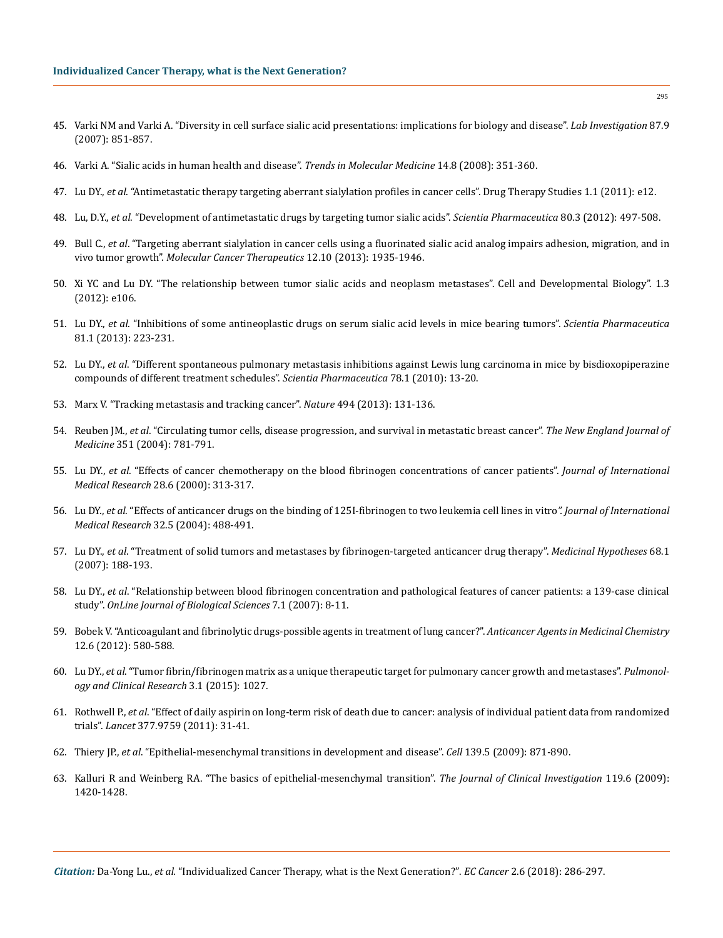- 45. [Varki NM and Varki A. "Diversity in cell surface sialic acid presentations: implications for biology and disease".](https://www.ncbi.nlm.nih.gov/pubmed/17632542) *Lab Investigation* 87.9 [\(2007\): 851-857.](https://www.ncbi.nlm.nih.gov/pubmed/17632542)
- 46. [Varki A. "Sialic acids in human health and disease".](https://www.ncbi.nlm.nih.gov/pubmed/18606570) *Trends in Molecular Medicine* 14.8 (2008): 351-360.
- 47. Lu DY., *et al*[. "Antimetastatic therapy targeting aberrant sialylation profiles in cancer cells". Drug Therapy Studies 1.1 \(2011\): e12.](http://www.pagepress.org/journals/index.php/dts/article/view/3074)
- 48. Lu, D.Y., *et al*[. "Development of antimetastatic drugs by targeting tumor sialic acids".](https://www.ncbi.nlm.nih.gov/pmc/articles/PMC3447616/) *Scientia Pharmaceutica* 80.3 (2012): 497-508.
- 49. Bull C., *et al*[. "Targeting aberrant sialylation in cancer cells using a fluorinated sialic acid analog impairs adhesion, migration, and in](https://www.ncbi.nlm.nih.gov/pubmed/23974695) vivo tumor growth". *[Molecular Cancer Therapeutics](https://www.ncbi.nlm.nih.gov/pubmed/23974695)* 12.10 (2013): 1935-1946.
- 50. [Xi YC and Lu DY. "The relationship between tumor sialic acids and neoplasm metastases". Cell and Developmental Biology". 1.3](https://www.omicsonline.org/open-access/the-relationship-between-tumor-sialic-acids-and-neoplasm-metastasis-and-as-a-drug-target-2168-9296.1000e106.php?aid=7038)  [\(2012\): e106.](https://www.omicsonline.org/open-access/the-relationship-between-tumor-sialic-acids-and-neoplasm-metastasis-and-as-a-drug-target-2168-9296.1000e106.php?aid=7038)
- 51. Lu DY., *et al*[. "Inhibitions of some antineoplastic drugs on serum sialic acid levels in mice bearing tumors".](https://www.ncbi.nlm.nih.gov/pmc/articles/PMC3617655/) *Scientia Pharmaceutica* [81.1 \(2013\): 223-231.](https://www.ncbi.nlm.nih.gov/pmc/articles/PMC3617655/)
- 52. Lu DY., *et al*[. "Different spontaneous pulmonary metastasis inhibitions against Lewis lung carcinoma in mice by bisdioxopiperazine](https://www.ncbi.nlm.nih.gov/pubmed/21179367)  [compounds of different treatment schedules".](https://www.ncbi.nlm.nih.gov/pubmed/21179367) *Scientia Pharmaceutica* 78.1 (2010): 13-20.
- 53. [Marx V. "Tracking metastasis and tracking cancer".](https://www.nature.com/articles/494131a) *Nature* 494 (2013): 131-136.
- 54. Reuben JM., *et al*[. "Circulating tumor cells, disease progression, and survival in metastatic breast cancer".](https://www.nejm.org/doi/full/10.1056/nejmoa040766) *The New England Journal of Medicine* [351 \(2004\): 781-791.](https://www.nejm.org/doi/full/10.1056/nejmoa040766)
- 55. Lu DY., *et al*[. "Effects of cancer chemotherapy on the blood fibrinogen concentrations of cancer patients".](file:///C:/Users/Mounika/Desktop/ECOR-18-RW-355/v) *Journal of International Medical Research* [28.6 \(2000\): 313-317.](file:///C:/Users/Mounika/Desktop/ECOR-18-RW-355/v)
- 56. Lu DY., *et al*[. "Effects of anticancer drugs on the binding of 125I-fibrinogen to two leukemia cell lines in vitro](https://www.ncbi.nlm.nih.gov/pubmed/15458280)*". Journal of International Medical Research* [32.5 \(2004\): 488-491.](https://www.ncbi.nlm.nih.gov/pubmed/15458280)
- 57. Lu DY., *et al*[. "Treatment of solid tumors and metastases by fibrinogen-targeted anticancer drug therapy".](https://www.sciencedirect.com/science/article/pii/S0306987706005032) *Medicinal Hypotheses* 68.1 [\(2007\): 188-193.](https://www.sciencedirect.com/science/article/pii/S0306987706005032)
- 58. Lu DY., *et al*[. "Relationship between blood fibrinogen concentration and pathological features of cancer patients: a 139-case clinical](http://thescipub.com/pdf/10.3844/ojbsci.2007.8.11)  study". *[OnLine Journal of Biological Sciences](http://thescipub.com/pdf/10.3844/ojbsci.2007.8.11)* 7.1 (2007): 8-11.
- 59. [Bobek V. "Anticoagulant and fibrinolytic drugs-possible agents in treatment of lung cancer?".](https://www.ncbi.nlm.nih.gov/pubmed/22292773) *Anticancer Agents in Medicinal Chemistry* [12.6 \(2012\): 580-588.](https://www.ncbi.nlm.nih.gov/pubmed/22292773)
- 60. Lu DY., *et al*[. "Tumor fibrin/fibrinogen matrix as a unique therapeutic target for pulmonary cancer growth and metastases".](https://www.researchgate.net/publication/273124110_Tumor_fibrinfibrinogen_matrix_as_a_unique_therapeutic_target_for_pulmonary_cancer_growth_and_metastases) *Pulmonol[ogy and Clinical Research](https://www.researchgate.net/publication/273124110_Tumor_fibrinfibrinogen_matrix_as_a_unique_therapeutic_target_for_pulmonary_cancer_growth_and_metastases)* 3.1 (2015): 1027.
- 61. Rothwell P., *et al*[. "Effect of daily aspirin on long-term risk of death due to cancer: analysis of individual patient data from randomized](https://www.ncbi.nlm.nih.gov/pubmed/21144578) trials". *Lancet* [377.9759 \(2011\): 31-41.](https://www.ncbi.nlm.nih.gov/pubmed/21144578)
- 62. Thiery JP., *et al*[. "Epithelial-mesenchymal transitions in development and disease".](https://www.ncbi.nlm.nih.gov/pubmed/19945376) *Cell* 139.5 (2009): 871-890.
- 63. [Kalluri R and Weinberg RA. "The basics of epithelial-mesenchymal transition".](https://www.ncbi.nlm.nih.gov/pubmed/19487818) *The Journal of Clinical Investigation* 119.6 (2009): [1420-1428.](https://www.ncbi.nlm.nih.gov/pubmed/19487818)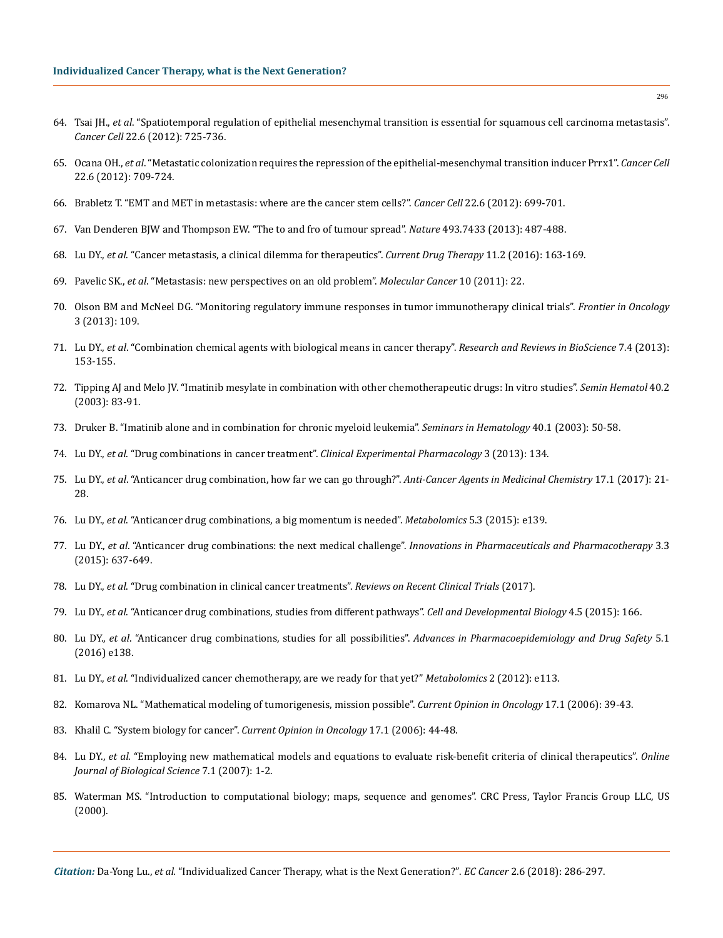- 64. Tsai JH., *et al*[. "Spatiotemporal regulation of epithelial mesenchymal transition is essential for squamous cell carcinoma metastasis".](file:///C:/Users/Mounika/Desktop/ECOR-18-RW-355/v) *Cancer Cell* [22.6 \(2012\): 725-736.](file:///C:/Users/Mounika/Desktop/ECOR-18-RW-355/v)
- 65. Ocana OH., *et al*[. "Metastatic colonization requires the repression of the epithelial-mesenchymal transition inducer Prrx1".](https://www.ncbi.nlm.nih.gov/pubmed/23201163) *Cancer Cell* [22.6 \(2012\): 709-724.](https://www.ncbi.nlm.nih.gov/pubmed/23201163)
- 66. [Brabletz T. "EMT and MET in metastasis: where are the cancer stem cells?".](file:///C:/Users/Mounika/Desktop/ECOR-18-RW-355/v) *Cancer Cell* 22.6 (2012): 699-701.
- 67. [Van Denderen BJW and Thompson EW. "The to and fro of tumour spread".](https://www.ncbi.nlm.nih.gov/pubmed/23344357) *Nature* 493.7433 (2013): 487-488.
- 68. Lu DY., *et al*[. "Cancer metastasis, a clinical dilemma for therapeutics".](https://www.eurekaselect.com/144690/article) *Current Drug Therapy* 11.2 (2016): 163-169.
- 69. Pavelic SK., *et al*[. "Metastasis: new perspectives on an old problem".](https://www.ncbi.nlm.nih.gov/pmc/articles/PMC3052211) *Molecular Cancer* 10 (2011): 22.
- 70. [Olson BM and McNeel DG. "Monitoring regulatory immune responses in tumor immunotherapy clinical trials".](https://www.ncbi.nlm.nih.gov/pmc/articles/PMC3644716/) *Frontier in Oncology* [3 \(2013\): 109.](https://www.ncbi.nlm.nih.gov/pmc/articles/PMC3644716/)
- 71. Lu DY., *et al*. "Combination chemical agents with biological means in cancer therapy". *Research and Reviews in BioScience* 7.4 (2013): 153-155.
- 72. [Tipping AJ and Melo JV. "Imatinib mesylate in combination with other chemotherapeutic drugs: In vitro studies".](https://www.ncbi.nlm.nih.gov/pubmed/12783381) *Semin Hematol* 40.2 [\(2003\): 83-91.](https://www.ncbi.nlm.nih.gov/pubmed/12783381)
- 73. [Druker B. "Imatinib alone and in combination for chronic myeloid leukemia".](https://www.ncbi.nlm.nih.gov/pubmed/12563611) *Seminars in Hematology* 40.1 (2003): 50-58.
- 74. Lu DY., *et al*. "Drug combinations in cancer treatment". *[Clinical Experimental Pharmacology](https://www.omicsonline.org/drug-combinations-in-cancer-treatments-2161-1459.1000134.php?aid=19970)* 3 (2013): 134.
- 75. Lu DY., *et al*[. "Anticancer drug combination, how far we can go through?".](https://www.ncbi.nlm.nih.gov/pubmed/27039923) *Anti-Cancer Agents in Medicinal Chemistry* 17.1 (2017): 21- [28.](https://www.ncbi.nlm.nih.gov/pubmed/27039923)
- 76. Lu DY., *et al*[. "Anticancer drug combinations, a big momentum is needed".](https://www.omicsonline.org/open-access/anticancer-drug-combinations-a-big-momentum-is-needed-2153-0769-1000e139.php?aid=60371) *Metabolomics* 5.3 (2015): e139.
- 77. Lu DY., *et al*. "Anticancer drug combinations: the next medical challenge". *Innovations in Pharmaceuticals and Pharmacotherapy* 3.3 (2015): 637-649.
- 78. Lu DY., *et al*[. "Drug combination in clinical cancer treatments".](https://www.ingentaconnect.com/contentone/ben/rrct/2017/00000012/00000003/art00012) *Reviews on Recent Clinical Trials* (2017).
- 79. Lu DY., *et al*[. "Anticancer drug combinations, studies from different pathways".](https://www.omicsonline.org/open-access/anticancer-drug-combinations-studies-from-different-pathways-2168-9296-1000166.php?aid=65999) *Cell and Developmental Biology* 4.5 (2015): 166.
- 80. Lu DY., *et al*. "Anticancer drug combinations, studies for all possibilities". *[Advances in Pharmacoepidemiology and Drug Safety](https://www.omicsonline.org/open-access/anticancer-drug-combinations-studies-for-all-possibilities-2167-1052-1000e138.php?aid=67600)* 5.1 [\(2016\) e138.](https://www.omicsonline.org/open-access/anticancer-drug-combinations-studies-for-all-possibilities-2167-1052-1000e138.php?aid=67600)
- 81. Lu DY., *et al*[. "Individualized cancer chemotherapy, are we ready for that yet?"](https://www.omicsonline.org/open-access/individualized-cancer-chemotherapy-are-we-ready-for-that-yet-2153-0769.1000e113.php?aid=4876) *Metabolomics* 2 (2012): e113.
- 82. [Komarova NL. "Mathematical modeling of tumorigenesis, mission possible".](https://www.ncbi.nlm.nih.gov/pubmed/15608511) *Current Opinion in Oncology* 17.1 (2006): 39-43.
- 83. [Khalil C. "System biology for cancer".](https://www.ncbi.nlm.nih.gov/pubmed/15608512) *Current Opinion in Oncology* 17.1 (2006): 44-48.
- 84. Lu DY., *et al*. "Employing new mathematical models and equations to evaluate risk-benefit criteria of clinical therapeutics". *Online Journal of Biological Science* 7.1 (2007): 1-2.
- 85. Waterman MS. "Introduction to computational biology; maps, sequence and genomes". CRC Press, Taylor Francis Group LLC, US (2000).

*Citation:* Da-Yong Lu., *et al.* "Individualized Cancer Therapy, what is the Next Generation?". *EC Cancer* 2.6 (2018): 286-297.